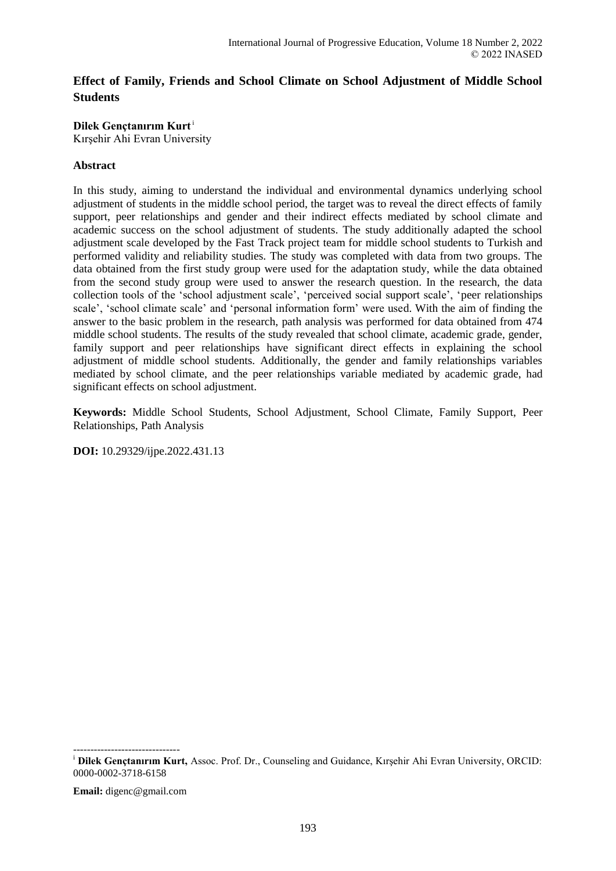# **Effect of Family, Friends and School Climate on School Adjustment of Middle School Students**

# **Dilek Gençtanırım Kurt**<sup>i</sup>

Kırşehir Ahi Evran University

# **Abstract**

In this study, aiming to understand the individual and environmental dynamics underlying school adjustment of students in the middle school period, the target was to reveal the direct effects of family support, peer relationships and gender and their indirect effects mediated by school climate and academic success on the school adjustment of students. The study additionally adapted the school adjustment scale developed by the Fast Track project team for middle school students to Turkish and performed validity and reliability studies. The study was completed with data from two groups. The data obtained from the first study group were used for the adaptation study, while the data obtained from the second study group were used to answer the research question. In the research, the data collection tools of the 'school adjustment scale', 'perceived social support scale', 'peer relationships scale', 'school climate scale' and 'personal information form' were used. With the aim of finding the answer to the basic problem in the research, path analysis was performed for data obtained from 474 middle school students. The results of the study revealed that school climate, academic grade, gender, family support and peer relationships have significant direct effects in explaining the school adjustment of middle school students. Additionally, the gender and family relationships variables mediated by school climate, and the peer relationships variable mediated by academic grade, had significant effects on school adjustment.

**Keywords:** Middle School Students, School Adjustment, School Climate, Family Support, Peer Relationships, Path Analysis

**DOI:** 10.29329/ijpe.2022.431.13

------------------------------ <sup>i</sup> **Dilek Gençtanırım Kurt,** Assoc. Prof. Dr., Counseling and Guidance, Kırşehir Ahi Evran University, ORCID: 0000-0002-3718-6158

**Email:** digenc@gmail.com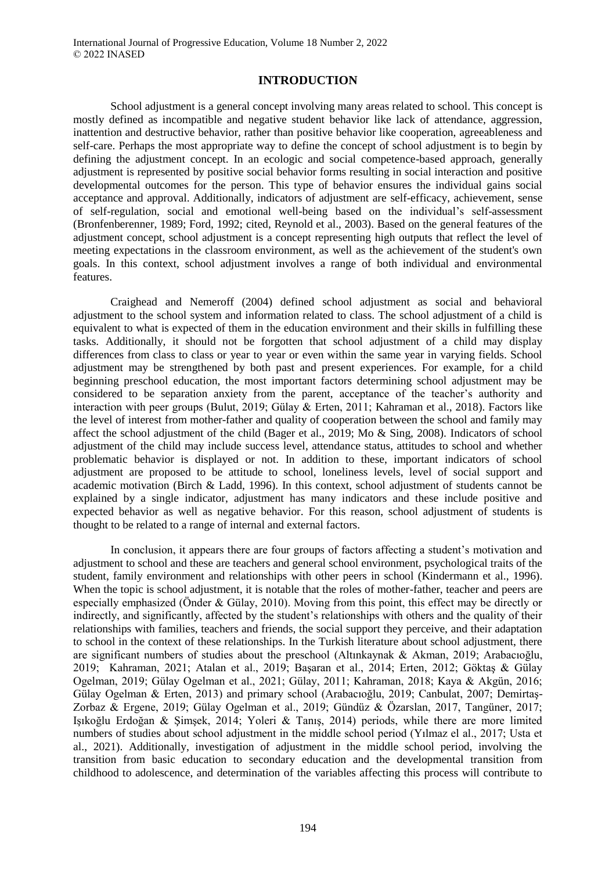## **INTRODUCTION**

School adjustment is a general concept involving many areas related to school. This concept is mostly defined as incompatible and negative student behavior like lack of attendance, aggression, inattention and destructive behavior, rather than positive behavior like cooperation, agreeableness and self-care. Perhaps the most appropriate way to define the concept of school adjustment is to begin by defining the adjustment concept. In an ecologic and social competence-based approach, generally adjustment is represented by positive social behavior forms resulting in social interaction and positive developmental outcomes for the person. This type of behavior ensures the individual gains social acceptance and approval. Additionally, indicators of adjustment are self-efficacy, achievement, sense of self-regulation, social and emotional well-being based on the individual's self-assessment (Bronfenberenner, 1989; Ford, 1992; cited, Reynold et al., 2003). Based on the general features of the adjustment concept, school adjustment is a concept representing high outputs that reflect the level of meeting expectations in the classroom environment, as well as the achievement of the student's own goals. In this context, school adjustment involves a range of both individual and environmental features.

Craighead and Nemeroff (2004) defined school adjustment as social and behavioral adjustment to the school system and information related to class. The school adjustment of a child is equivalent to what is expected of them in the education environment and their skills in fulfilling these tasks. Additionally, it should not be forgotten that school adjustment of a child may display differences from class to class or year to year or even within the same year in varying fields. School adjustment may be strengthened by both past and present experiences. For example, for a child beginning preschool education, the most important factors determining school adjustment may be considered to be separation anxiety from the parent, acceptance of the teacher's authority and interaction with peer groups (Bulut, 2019; Gülay & Erten, 2011; Kahraman et al., 2018). Factors like the level of interest from mother-father and quality of cooperation between the school and family may affect the school adjustment of the child (Bager et al., 2019; Mo & Sing, 2008). Indicators of school adjustment of the child may include success level, attendance status, attitudes to school and whether problematic behavior is displayed or not. In addition to these, important indicators of school adjustment are proposed to be attitude to school, loneliness levels, level of social support and academic motivation (Birch & Ladd, 1996). In this context, school adjustment of students cannot be explained by a single indicator, adjustment has many indicators and these include positive and expected behavior as well as negative behavior. For this reason, school adjustment of students is thought to be related to a range of internal and external factors.

In conclusion, it appears there are four groups of factors affecting a student's motivation and adjustment to school and these are teachers and general school environment, psychological traits of the student, family environment and relationships with other peers in school (Kindermann et al., 1996). When the topic is school adjustment, it is notable that the roles of mother-father, teacher and peers are especially emphasized (Önder & Gülay, 2010). Moving from this point, this effect may be directly or indirectly, and significantly, affected by the student's relationships with others and the quality of their relationships with families, teachers and friends, the social support they perceive, and their adaptation to school in the context of these relationships. In the Turkish literature about school adjustment, there are significant numbers of studies about the preschool (Altınkaynak & Akman, 2019; Arabacıoğlu, 2019; Kahraman, 2021; Atalan et al., 2019; Başaran et al., 2014; Erten, 2012; Göktaş & Gülay Ogelman, 2019; Gülay Ogelman et al., 2021; Gülay, 2011; Kahraman, 2018; Kaya & Akgün, 2016; Gülay Ogelman & Erten, 2013) and primary school (Arabacıoğlu, 2019; Canbulat, 2007; Demirtaş-Zorbaz & Ergene, 2019; Gülay Ogelman et al., 2019; Gündüz & Özarslan, 2017, Tangüner, 2017; Işıkoğlu Erdoğan & Şimşek, 2014; Yoleri & Tanış, 2014) periods, while there are more limited numbers of studies about school adjustment in the middle school period (Yılmaz el al., 2017; Usta et al., 2021). Additionally, investigation of adjustment in the middle school period, involving the transition from basic education to secondary education and the developmental transition from childhood to adolescence, and determination of the variables affecting this process will contribute to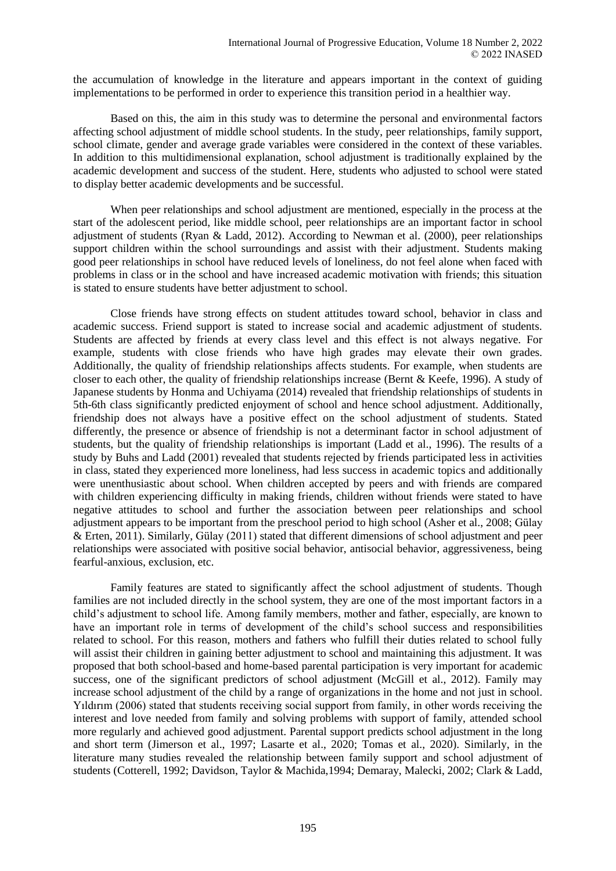the accumulation of knowledge in the literature and appears important in the context of guiding implementations to be performed in order to experience this transition period in a healthier way.

Based on this, the aim in this study was to determine the personal and environmental factors affecting school adjustment of middle school students. In the study, peer relationships, family support, school climate, gender and average grade variables were considered in the context of these variables. In addition to this multidimensional explanation, school adjustment is traditionally explained by the academic development and success of the student. Here, students who adjusted to school were stated to display better academic developments and be successful.

When peer relationships and school adjustment are mentioned, especially in the process at the start of the adolescent period, like middle school, peer relationships are an important factor in school adjustment of students (Ryan & Ladd, 2012). According to Newman et al. (2000), peer relationships support children within the school surroundings and assist with their adjustment. Students making good peer relationships in school have reduced levels of loneliness, do not feel alone when faced with problems in class or in the school and have increased academic motivation with friends; this situation is stated to ensure students have better adjustment to school.

Close friends have strong effects on student attitudes toward school, behavior in class and academic success. Friend support is stated to increase social and academic adjustment of students. Students are affected by friends at every class level and this effect is not always negative. For example, students with close friends who have high grades may elevate their own grades. Additionally, the quality of friendship relationships affects students. For example, when students are closer to each other, the quality of friendship relationships increase (Bernt & Keefe, 1996). A study of Japanese students by Honma and Uchiyama (2014) revealed that friendship relationships of students in 5th-6th class significantly predicted enjoyment of school and hence school adjustment. Additionally, friendship does not always have a positive effect on the school adjustment of students. Stated differently, the presence or absence of friendship is not a determinant factor in school adjustment of students, but the quality of friendship relationships is important (Ladd et al., 1996). The results of a study by Buhs and Ladd (2001) revealed that students rejected by friends participated less in activities in class, stated they experienced more loneliness, had less success in academic topics and additionally were unenthusiastic about school. When children accepted by peers and with friends are compared with children experiencing difficulty in making friends, children without friends were stated to have negative attitudes to school and further the association between peer relationships and school adjustment appears to be important from the preschool period to high school (Asher et al., 2008; Gülay & Erten, 2011). Similarly, Gülay (2011) stated that different dimensions of school adjustment and peer relationships were associated with positive social behavior, antisocial behavior, aggressiveness, being fearful-anxious, exclusion, etc.

Family features are stated to significantly affect the school adjustment of students. Though families are not included directly in the school system, they are one of the most important factors in a child's adjustment to school life. Among family members, mother and father, especially, are known to have an important role in terms of development of the child's school success and responsibilities related to school. For this reason, mothers and fathers who fulfill their duties related to school fully will assist their children in gaining better adjustment to school and maintaining this adjustment. It was proposed that both school-based and home-based parental participation is very important for academic success, one of the significant predictors of school adjustment (McGill et al., 2012). Family may increase school adjustment of the child by a range of organizations in the home and not just in school. Yıldırım (2006) stated that students receiving social support from family, in other words receiving the interest and love needed from family and solving problems with support of family, attended school more regularly and achieved good adjustment. Parental support predicts school adjustment in the long and short term (Jimerson et al., 1997; Lasarte et al., 2020; Tomas et al., 2020). Similarly, in the literature many studies revealed the relationship between family support and school adjustment of students (Cotterell, 1992; Davidson, Taylor & Machida,1994; Demaray, Malecki, 2002; Clark & Ladd,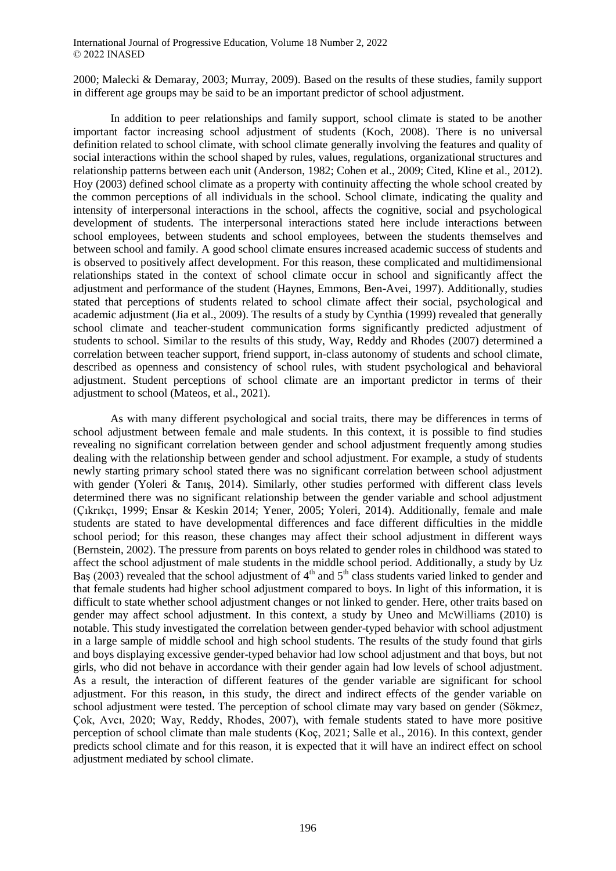2000; Malecki & Demaray, 2003; Murray, 2009). Based on the results of these studies, family support in different age groups may be said to be an important predictor of school adjustment.

In addition to peer relationships and family support, school climate is stated to be another important factor increasing school adjustment of students (Koch, 2008). There is no universal definition related to school climate, with school climate generally involving the features and quality of social interactions within the school shaped by rules, values, regulations, organizational structures and relationship patterns between each unit (Anderson, 1982; Cohen et al., 2009; Cited, Kline et al., 2012). Hoy (2003) defined school climate as a property with continuity affecting the whole school created by the common perceptions of all individuals in the school. School climate, indicating the quality and intensity of interpersonal interactions in the school, affects the cognitive, social and psychological development of students. The interpersonal interactions stated here include interactions between school employees, between students and school employees, between the students themselves and between school and family. A good school climate ensures increased academic success of students and is observed to positively affect development. For this reason, these complicated and multidimensional relationships stated in the context of school climate occur in school and significantly affect the adjustment and performance of the student (Haynes, Emmons, Ben-Avei, 1997). Additionally, studies stated that perceptions of students related to school climate affect their social, psychological and academic adjustment (Jia et al., 2009). The results of a study by Cynthia (1999) revealed that generally school climate and teacher-student communication forms significantly predicted adjustment of students to school. Similar to the results of this study, Way, Reddy and Rhodes (2007) determined a correlation between teacher support, friend support, in-class autonomy of students and school climate, described as openness and consistency of school rules, with student psychological and behavioral adjustment. Student perceptions of school climate are an important predictor in terms of their adjustment to school (Mateos, et al., 2021).

As with many different psychological and social traits, there may be differences in terms of school adjustment between female and male students. In this context, it is possible to find studies revealing no significant correlation between gender and school adjustment frequently among studies dealing with the relationship between gender and school adjustment. For example, a study of students newly starting primary school stated there was no significant correlation between school adjustment with gender (Yoleri & Tanış, 2014). Similarly, other studies performed with different class levels determined there was no significant relationship between the gender variable and school adjustment (Çıkrıkçı, 1999; Ensar & Keskin 2014; Yener, 2005; Yoleri, 2014). Additionally, female and male students are stated to have developmental differences and face different difficulties in the middle school period; for this reason, these changes may affect their school adjustment in different ways (Bernstein, 2002). The pressure from parents on boys related to gender roles in childhood was stated to affect the school adjustment of male students in the middle school period. Additionally, a study by Uz Bas (2003) revealed that the school adjustment of  $4<sup>th</sup>$  and  $5<sup>th</sup>$  class students varied linked to gender and that female students had higher school adjustment compared to boys. In light of this information, it is difficult to state whether school adjustment changes or not linked to gender. Here, other traits based on gender may affect school adjustment. In this context, a study by Uneo and McWilliams (2010) is notable. This study investigated the correlation between gender-typed behavior with school adjustment in a large sample of middle school and high school students. The results of the study found that girls and boys displaying excessive gender-typed behavior had low school adjustment and that boys, but not girls, who did not behave in accordance with their gender again had low levels of school adjustment. As a result, the interaction of different features of the gender variable are significant for school adjustment. For this reason, in this study, the direct and indirect effects of the gender variable on school adjustment were tested. The perception of school climate may vary based on gender (Sökmez, Çok, Avcı, 2020; Way, Reddy, Rhodes, 2007), with female students stated to have more positive perception of school climate than male students (Koç, 2021; Salle et al., 2016). In this context, gender predicts school climate and for this reason, it is expected that it will have an indirect effect on school adjustment mediated by school climate.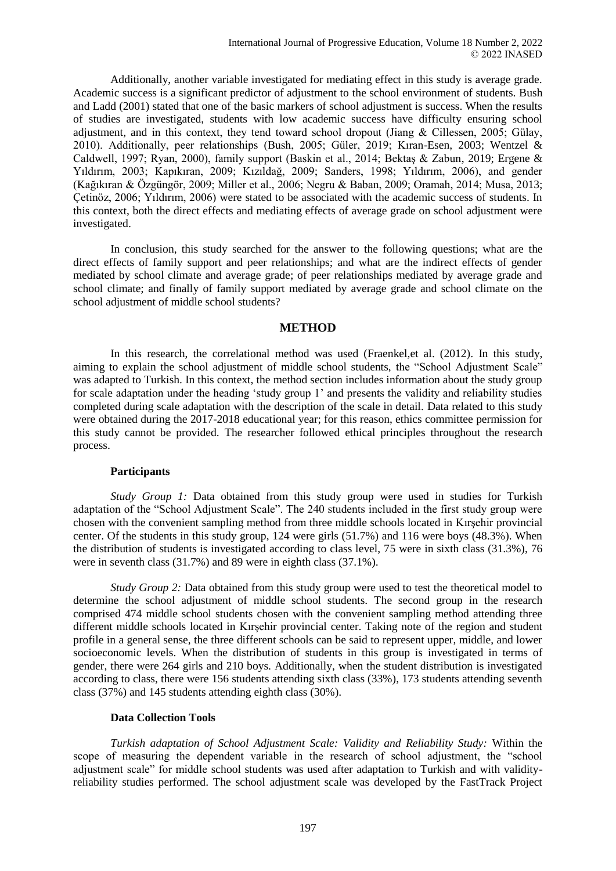Additionally, another variable investigated for mediating effect in this study is average grade. Academic success is a significant predictor of adjustment to the school environment of students. Bush and Ladd (2001) stated that one of the basic markers of school adjustment is success. When the results of studies are investigated, students with low academic success have difficulty ensuring school adjustment, and in this context, they tend toward school dropout (Jiang & Cillessen, 2005; Gülay, 2010). Additionally, peer relationships (Bush, 2005; Güler, 2019; Kıran-Esen, 2003; Wentzel & Caldwell, 1997; Ryan, 2000), family support (Baskin et al., 2014; Bektaş & Zabun, 2019; Ergene & Yıldırım, 2003; Kapıkıran, 2009; Kızıldağ, 2009; Sanders, 1998; Yıldırım, 2006), and gender (Kağıkıran & Özgüngör, 2009; Miller et al., 2006; Negru & Baban, 2009; Oramah, 2014; Musa, 2013; Çetinöz, 2006; Yıldırım, 2006) were stated to be associated with the academic success of students. In this context, both the direct effects and mediating effects of average grade on school adjustment were investigated.

In conclusion, this study searched for the answer to the following questions; what are the direct effects of family support and peer relationships; and what are the indirect effects of gender mediated by school climate and average grade; of peer relationships mediated by average grade and school climate; and finally of family support mediated by average grade and school climate on the school adjustment of middle school students?

# **METHOD**

In this research, the correlational method was used (Fraenkel,et al. (2012). In this study, aiming to explain the school adjustment of middle school students, the "School Adjustment Scale" was adapted to Turkish. In this context, the method section includes information about the study group for scale adaptation under the heading 'study group 1' and presents the validity and reliability studies completed during scale adaptation with the description of the scale in detail. Data related to this study were obtained during the 2017-2018 educational year; for this reason, ethics committee permission for this study cannot be provided. The researcher followed ethical principles throughout the research process.

# **Participants**

*Study Group 1:* Data obtained from this study group were used in studies for Turkish adaptation of the "School Adjustment Scale". The 240 students included in the first study group were chosen with the convenient sampling method from three middle schools located in Kırşehir provincial center. Of the students in this study group, 124 were girls (51.7%) and 116 were boys (48.3%). When the distribution of students is investigated according to class level, 75 were in sixth class (31.3%), 76 were in seventh class (31.7%) and 89 were in eighth class (37.1%).

*Study Group 2:* Data obtained from this study group were used to test the theoretical model to determine the school adjustment of middle school students. The second group in the research comprised 474 middle school students chosen with the convenient sampling method attending three different middle schools located in Kırşehir provincial center. Taking note of the region and student profile in a general sense, the three different schools can be said to represent upper, middle, and lower socioeconomic levels. When the distribution of students in this group is investigated in terms of gender, there were 264 girls and 210 boys. Additionally, when the student distribution is investigated according to class, there were 156 students attending sixth class (33%), 173 students attending seventh class (37%) and 145 students attending eighth class (30%).

## **Data Collection Tools**

*Turkish adaptation of School Adjustment Scale: Validity and Reliability Study:* Within the scope of measuring the dependent variable in the research of school adjustment, the "school adjustment scale" for middle school students was used after adaptation to Turkish and with validityreliability studies performed. The school adjustment scale was developed by the FastTrack Project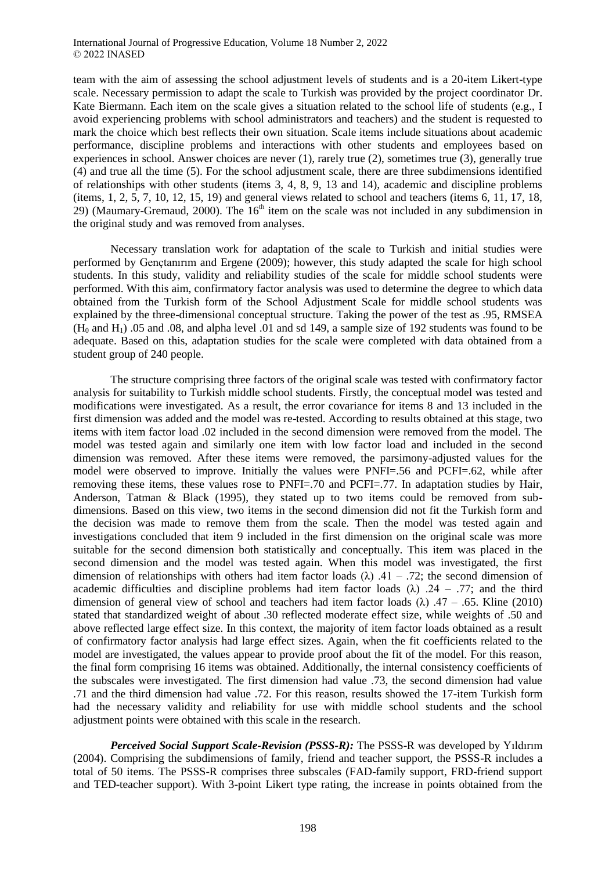team with the aim of assessing the school adjustment levels of students and is a 20-item Likert-type scale. Necessary permission to adapt the scale to Turkish was provided by the project coordinator Dr. Kate Biermann. Each item on the scale gives a situation related to the school life of students (e.g., I avoid experiencing problems with school administrators and teachers) and the student is requested to mark the choice which best reflects their own situation. Scale items include situations about academic performance, discipline problems and interactions with other students and employees based on experiences in school. Answer choices are never (1), rarely true (2), sometimes true (3), generally true (4) and true all the time (5). For the school adjustment scale, there are three subdimensions identified of relationships with other students (items 3, 4, 8, 9, 13 and 14), academic and discipline problems (items, 1, 2,  $\overline{5}$ , 7, 10, 12, 15, 19) and general views related to school and teachers (items 6, 11, 17, 18, 29) (Maumary-Gremaud, 2000). The  $16<sup>th</sup>$  item on the scale was not included in any subdimension in the original study and was removed from analyses.

Necessary translation work for adaptation of the scale to Turkish and initial studies were performed by Gençtanırım and Ergene (2009); however, this study adapted the scale for high school students. In this study, validity and reliability studies of the scale for middle school students were performed. With this aim, confirmatory factor analysis was used to determine the degree to which data obtained from the Turkish form of the School Adjustment Scale for middle school students was explained by the three-dimensional conceptual structure. Taking the power of the test as .95, RMSEA  $(H<sub>0</sub>$  and  $H<sub>1</sub>$ ) .05 and .08, and alpha level .01 and sd 149, a sample size of 192 students was found to be adequate. Based on this, adaptation studies for the scale were completed with data obtained from a student group of 240 people.

The structure comprising three factors of the original scale was tested with confirmatory factor analysis for suitability to Turkish middle school students. Firstly, the conceptual model was tested and modifications were investigated. As a result, the error covariance for items 8 and 13 included in the first dimension was added and the model was re-tested. According to results obtained at this stage, two items with item factor load .02 included in the second dimension were removed from the model. The model was tested again and similarly one item with low factor load and included in the second dimension was removed. After these items were removed, the parsimony-adjusted values for the model were observed to improve. Initially the values were PNFI=.56 and PCFI=.62, while after removing these items, these values rose to PNFI=.70 and PCFI=.77. In adaptation studies by Hair, Anderson, Tatman & Black (1995), they stated up to two items could be removed from subdimensions. Based on this view, two items in the second dimension did not fit the Turkish form and the decision was made to remove them from the scale. Then the model was tested again and investigations concluded that item 9 included in the first dimension on the original scale was more suitable for the second dimension both statistically and conceptually. This item was placed in the second dimension and the model was tested again. When this model was investigated, the first dimension of relationships with others had item factor loads  $(\lambda)$  .41 – .72; the second dimension of academic difficulties and discipline problems had item factor loads  $(\lambda)$  .24 – .77; and the third dimension of general view of school and teachers had item factor loads  $(\lambda)$  .47 – .65. Kline (2010) stated that standardized weight of about .30 reflected moderate effect size, while weights of .50 and above reflected large effect size. In this context, the majority of item factor loads obtained as a result of confirmatory factor analysis had large effect sizes. Again, when the fit coefficients related to the model are investigated, the values appear to provide proof about the fit of the model. For this reason, the final form comprising 16 items was obtained. Additionally, the internal consistency coefficients of the subscales were investigated. The first dimension had value .73, the second dimension had value .71 and the third dimension had value .72. For this reason, results showed the 17-item Turkish form had the necessary validity and reliability for use with middle school students and the school adjustment points were obtained with this scale in the research.

*Perceived Social Support Scale-Revision (PSSS-R):* The PSSS-R was developed by Yıldırım (2004). Comprising the subdimensions of family, friend and teacher support, the PSSS-R includes a total of 50 items. The PSSS-R comprises three subscales (FAD-family support, FRD-friend support and TED-teacher support). With 3-point Likert type rating, the increase in points obtained from the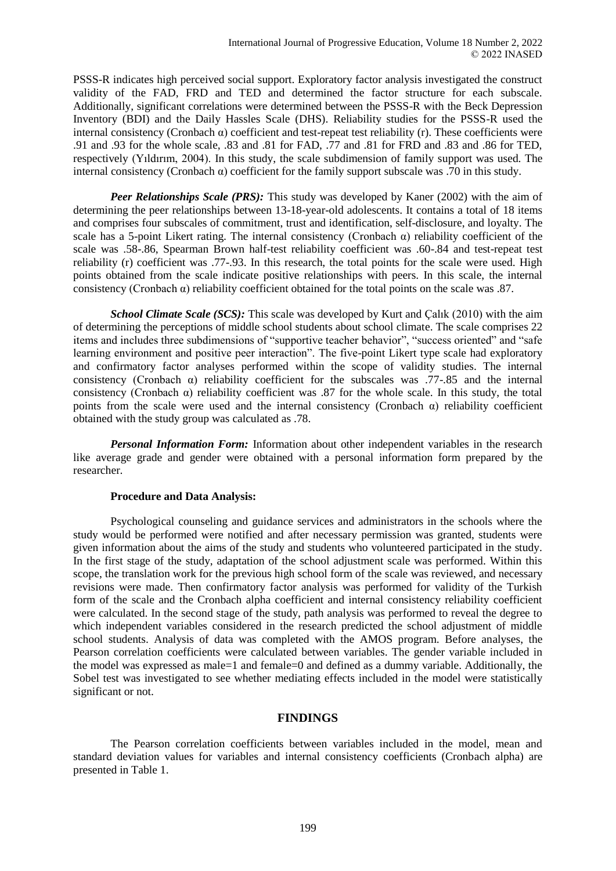PSSS-R indicates high perceived social support. Exploratory factor analysis investigated the construct validity of the FAD, FRD and TED and determined the factor structure for each subscale. Additionally, significant correlations were determined between the PSSS-R with the Beck Depression Inventory (BDI) and the Daily Hassles Scale (DHS). Reliability studies for the PSSS-R used the internal consistency (Cronbach  $\alpha$ ) coefficient and test-repeat test reliability (r). These coefficients were .91 and .93 for the whole scale, .83 and .81 for FAD, .77 and .81 for FRD and .83 and .86 for TED, respectively (Yıldırım, 2004). In this study, the scale subdimension of family support was used. The internal consistency (Cronbach α) coefficient for the family support subscale was .70 in this study.

*Peer Relationships Scale (PRS):* This study was developed by Kaner (2002) with the aim of determining the peer relationships between 13-18-year-old adolescents. It contains a total of 18 items and comprises four subscales of commitment, trust and identification, self-disclosure, and loyalty. The scale has a 5-point Likert rating. The internal consistency (Cronbach  $\alpha$ ) reliability coefficient of the scale was .58-.86, Spearman Brown half-test reliability coefficient was .60-.84 and test-repeat test reliability (r) coefficient was .77-.93. In this research, the total points for the scale were used. High points obtained from the scale indicate positive relationships with peers. In this scale, the internal consistency (Cronbach α) reliability coefficient obtained for the total points on the scale was .87.

*School Climate Scale (SCS)*: This scale was developed by Kurt and Calik (2010) with the aim of determining the perceptions of middle school students about school climate. The scale comprises 22 items and includes three subdimensions of "supportive teacher behavior", "success oriented" and "safe learning environment and positive peer interaction". The five-point Likert type scale had exploratory and confirmatory factor analyses performed within the scope of validity studies. The internal consistency (Cronbach  $\alpha$ ) reliability coefficient for the subscales was .77-.85 and the internal consistency (Cronbach  $\alpha$ ) reliability coefficient was .87 for the whole scale. In this study, the total points from the scale were used and the internal consistency (Cronbach  $\alpha$ ) reliability coefficient obtained with the study group was calculated as .78.

*Personal Information Form:* Information about other independent variables in the research like average grade and gender were obtained with a personal information form prepared by the researcher.

## **Procedure and Data Analysis:**

Psychological counseling and guidance services and administrators in the schools where the study would be performed were notified and after necessary permission was granted, students were given information about the aims of the study and students who volunteered participated in the study. In the first stage of the study, adaptation of the school adjustment scale was performed. Within this scope, the translation work for the previous high school form of the scale was reviewed, and necessary revisions were made. Then confirmatory factor analysis was performed for validity of the Turkish form of the scale and the Cronbach alpha coefficient and internal consistency reliability coefficient were calculated. In the second stage of the study, path analysis was performed to reveal the degree to which independent variables considered in the research predicted the school adjustment of middle school students. Analysis of data was completed with the AMOS program. Before analyses, the Pearson correlation coefficients were calculated between variables. The gender variable included in the model was expressed as male=1 and female=0 and defined as a dummy variable. Additionally, the Sobel test was investigated to see whether mediating effects included in the model were statistically significant or not.

# **FINDINGS**

The Pearson correlation coefficients between variables included in the model, mean and standard deviation values for variables and internal consistency coefficients (Cronbach alpha) are presented in Table 1.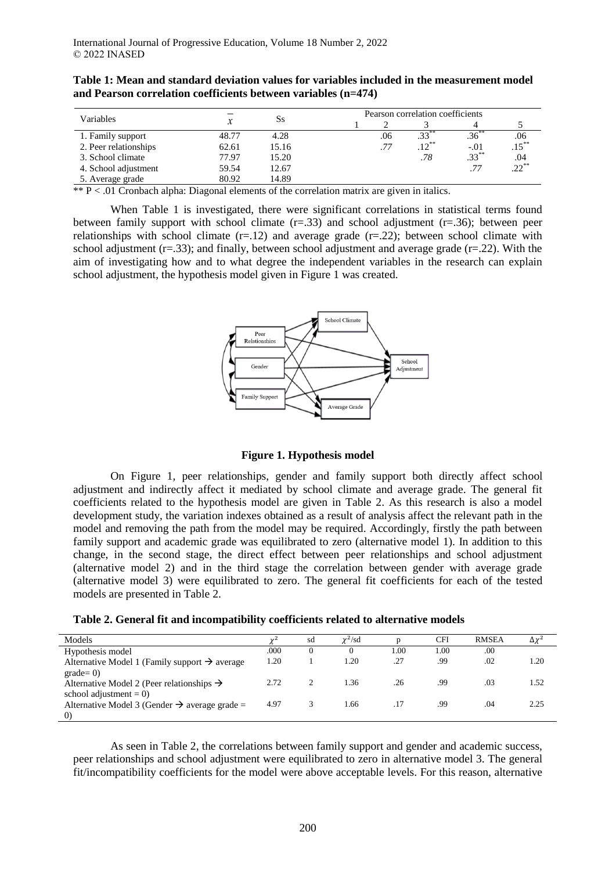|                       |       | Ss    | Pearson correlation coefficients |     |                  |          |          |  |  |
|-----------------------|-------|-------|----------------------------------|-----|------------------|----------|----------|--|--|
| Variables             |       |       |                                  |     |                  |          |          |  |  |
| 1. Family support     | 48.77 | 4.28  |                                  | .06 | .33 <sup>°</sup> | .36      | .06      |  |  |
| 2. Peer relationships | 62.61 | 15.16 |                                  | .77 | $.12***$         | $-.01$   | $.15***$ |  |  |
| 3. School climate     | 77.97 | 15.20 |                                  |     | .78              | $.33***$ | .04      |  |  |
| 4. School adjustment  | 59.54 | 12.67 |                                  |     |                  | .77      | $.22***$ |  |  |
| 5. Average grade      | 80.92 | 14.89 |                                  |     |                  |          |          |  |  |

**Table 1: Mean and standard deviation values for variables included in the measurement model and Pearson correlation coefficients between variables (n=474)**

 $*$  P < .01 Cronbach alpha: Diagonal elements of the correlation matrix are given in italics.

When Table 1 is investigated, there were significant correlations in statistical terms found between family support with school climate  $(r=.33)$  and school adjustment  $(r=.36)$ ; between peer relationships with school climate  $(r=.12)$  and average grade  $(r=.22)$ ; between school climate with school adjustment ( $r=0.33$ ); and finally, between school adjustment and average grade ( $r=0.22$ ). With the aim of investigating how and to what degree the independent variables in the research can explain school adjustment, the hypothesis model given in Figure 1 was created.



**Figure 1. Hypothesis model**

On Figure 1, peer relationships, gender and family support both directly affect school adjustment and indirectly affect it mediated by school climate and average grade. The general fit coefficients related to the hypothesis model are given in Table 2. As this research is also a model development study, the variation indexes obtained as a result of analysis affect the relevant path in the model and removing the path from the model may be required. Accordingly, firstly the path between family support and academic grade was equilibrated to zero (alternative model 1). In addition to this change, in the second stage, the direct effect between peer relationships and school adjustment (alternative model 2) and in the third stage the correlation between gender with average grade (alternative model 3) were equilibrated to zero. The general fit coefficients for each of the tested models are presented in Table 2.

|  |  | Table 2. General fit and incompatibility coefficients related to alternative models |  |  |
|--|--|-------------------------------------------------------------------------------------|--|--|
|  |  |                                                                                     |  |  |

| Models                                                    | 2.6  | sd | $\chi^2$ /sd |      | CFI  | <b>RMSEA</b> | $\Delta \chi^2$ |
|-----------------------------------------------------------|------|----|--------------|------|------|--------------|-----------------|
| Hypothesis model                                          | .000 |    | 0            | 00.1 | 1.00 | .00          |                 |
| Alternative Model 1 (Family support $\rightarrow$ average | 1.20 |    | 1.20         | .27  | .99  | .02          | 1.20            |
| $grade=0$ )                                               |      |    |              |      |      |              |                 |
| Alternative Model 2 (Peer relationships $\rightarrow$     | 2.72 |    | 1.36         | .26  | .99  | .03          | 1.52            |
| school adjustment $= 0$ )                                 |      |    |              |      |      |              |                 |
| Alternative Model 3 (Gender $\rightarrow$ average grade = | 4.97 |    | 1.66         | .17  | .99  | .04          | 2.25            |
| $\left( 0\right)$                                         |      |    |              |      |      |              |                 |

As seen in Table 2, the correlations between family support and gender and academic success, peer relationships and school adjustment were equilibrated to zero in alternative model 3. The general fit/incompatibility coefficients for the model were above acceptable levels. For this reason, alternative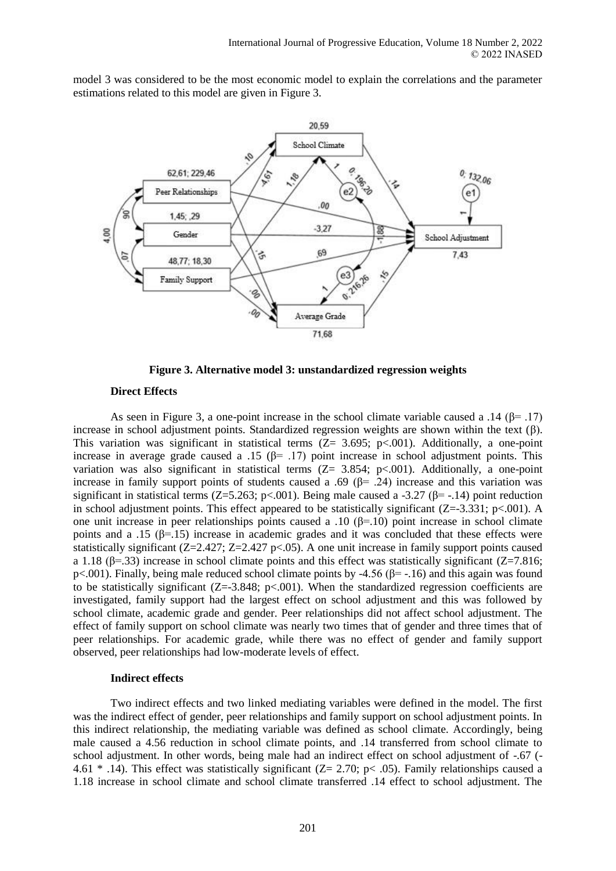model 3 was considered to be the most economic model to explain the correlations and the parameter estimations related to this model are given in Figure 3.



**Figure 3. Alternative model 3: unstandardized regression weights**

#### **Direct Effects**

As seen in Figure 3, a one-point increase in the school climate variable caused a .14 ( $\beta$ = .17) increase in school adjustment points. Standardized regression weights are shown within the text (β). This variation was significant in statistical terms  $(Z= 3.695; p<.001)$ . Additionally, a one-point increase in average grade caused a .15 ( $\beta$ = .17) point increase in school adjustment points. This variation was also significant in statistical terms (Z= 3.854; p<.001). Additionally, a one-point increase in family support points of students caused a .69 ( $\beta$ = .24) increase and this variation was significant in statistical terms ( $Z=5.263$ ; p<.001). Being male caused a -3.27 ( $\beta$ = -.14) point reduction in school adjustment points. This effect appeared to be statistically significant ( $Z=-3.331$ ; p<.001). A one unit increase in peer relationships points caused a .10  $(\beta=10)$  point increase in school climate points and a .15 ( $\beta$ =.15) increase in academic grades and it was concluded that these effects were statistically significant (Z=2.427; Z=2.427 p<.05). A one unit increase in family support points caused a 1.18 ( $\beta$ =.33) increase in school climate points and this effect was statistically significant ( $\mathbb{Z}=7.816$ ; p<.001). Finally, being male reduced school climate points by -4.56 (β= -.16) and this again was found to be statistically significant  $(Z=3.848; p<.001)$ . When the standardized regression coefficients are investigated, family support had the largest effect on school adjustment and this was followed by school climate, academic grade and gender. Peer relationships did not affect school adjustment. The effect of family support on school climate was nearly two times that of gender and three times that of peer relationships. For academic grade, while there was no effect of gender and family support observed, peer relationships had low-moderate levels of effect.

#### **Indirect effects**

Two indirect effects and two linked mediating variables were defined in the model. The first was the indirect effect of gender, peer relationships and family support on school adjustment points. In this indirect relationship, the mediating variable was defined as school climate. Accordingly, being male caused a 4.56 reduction in school climate points, and .14 transferred from school climate to school adjustment. In other words, being male had an indirect effect on school adjustment of -.67 (- 4.61  $*$  .14). This effect was statistically significant (Z= 2.70; p< .05). Family relationships caused a 1.18 increase in school climate and school climate transferred .14 effect to school adjustment. The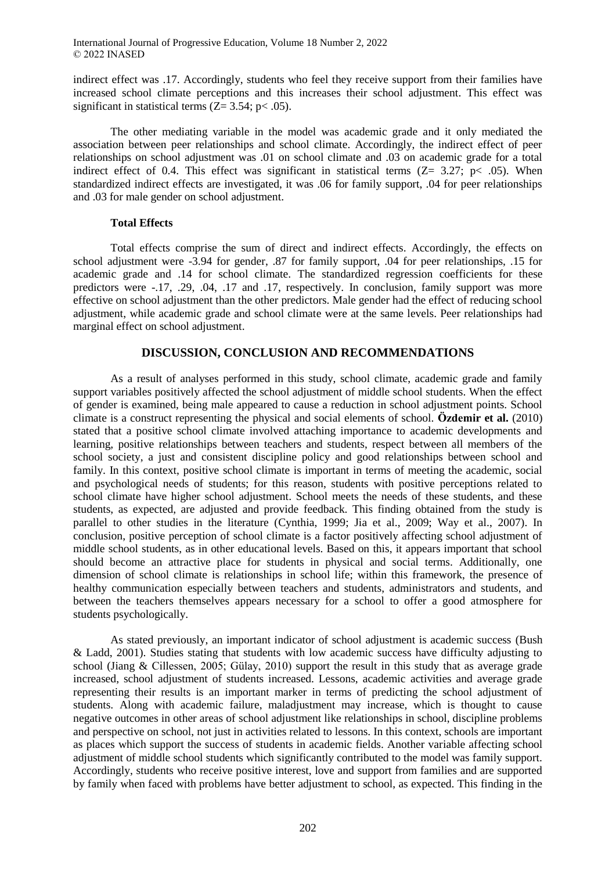indirect effect was .17. Accordingly, students who feel they receive support from their families have increased school climate perceptions and this increases their school adjustment. This effect was significant in statistical terms  $(Z= 3.54; p < .05)$ .

The other mediating variable in the model was academic grade and it only mediated the association between peer relationships and school climate. Accordingly, the indirect effect of peer relationships on school adjustment was .01 on school climate and .03 on academic grade for a total indirect effect of 0.4. This effect was significant in statistical terms  $(Z= 3.27; p< .05)$ . When standardized indirect effects are investigated, it was .06 for family support, .04 for peer relationships and .03 for male gender on school adjustment.

## **Total Effects**

Total effects comprise the sum of direct and indirect effects. Accordingly, the effects on school adjustment were -3.94 for gender, .87 for family support, .04 for peer relationships, .15 for academic grade and .14 for school climate. The standardized regression coefficients for these predictors were -.17, .29, .04, .17 and .17, respectively. In conclusion, family support was more effective on school adjustment than the other predictors. Male gender had the effect of reducing school adjustment, while academic grade and school climate were at the same levels. Peer relationships had marginal effect on school adjustment.

# **DISCUSSION, CONCLUSION AND RECOMMENDATIONS**

As a result of analyses performed in this study, school climate, academic grade and family support variables positively affected the school adjustment of middle school students. When the effect of gender is examined, being male appeared to cause a reduction in school adjustment points. School climate is a construct representing the physical and social elements of school. **Özdemir et al.** (2010) stated that a positive school climate involved attaching importance to academic developments and learning, positive relationships between teachers and students, respect between all members of the school society, a just and consistent discipline policy and good relationships between school and family. In this context, positive school climate is important in terms of meeting the academic, social and psychological needs of students; for this reason, students with positive perceptions related to school climate have higher school adjustment. School meets the needs of these students, and these students, as expected, are adjusted and provide feedback. This finding obtained from the study is parallel to other studies in the literature (Cynthia, 1999; Jia et al., 2009; Way et al., 2007). In conclusion, positive perception of school climate is a factor positively affecting school adjustment of middle school students, as in other educational levels. Based on this, it appears important that school should become an attractive place for students in physical and social terms. Additionally, one dimension of school climate is relationships in school life; within this framework, the presence of healthy communication especially between teachers and students, administrators and students, and between the teachers themselves appears necessary for a school to offer a good atmosphere for students psychologically.

As stated previously, an important indicator of school adjustment is academic success (Bush & Ladd, 2001). Studies stating that students with low academic success have difficulty adjusting to school (Jiang & Cillessen, 2005; Gülay, 2010) support the result in this study that as average grade increased, school adjustment of students increased. Lessons, academic activities and average grade representing their results is an important marker in terms of predicting the school adjustment of students. Along with academic failure, maladjustment may increase, which is thought to cause negative outcomes in other areas of school adjustment like relationships in school, discipline problems and perspective on school, not just in activities related to lessons. In this context, schools are important as places which support the success of students in academic fields. Another variable affecting school adjustment of middle school students which significantly contributed to the model was family support. Accordingly, students who receive positive interest, love and support from families and are supported by family when faced with problems have better adjustment to school, as expected. This finding in the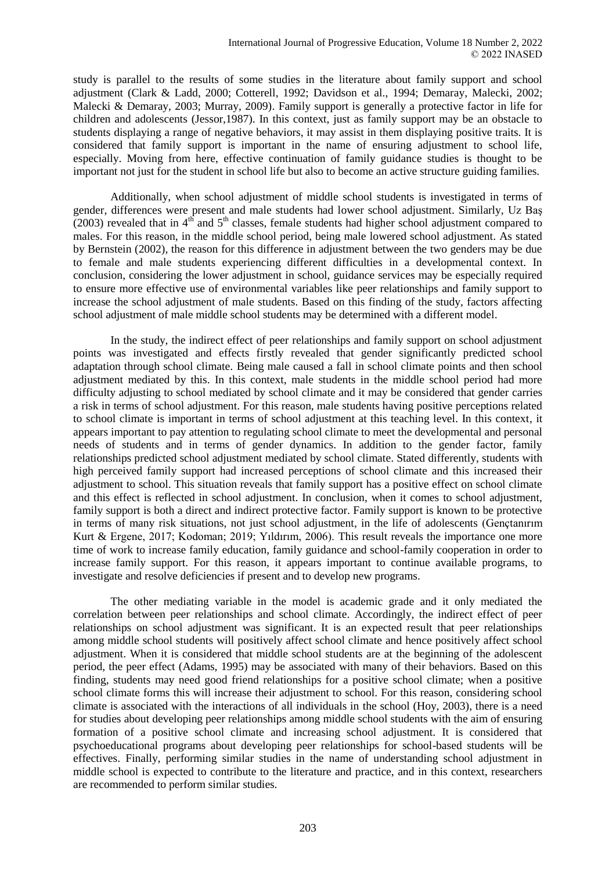study is parallel to the results of some studies in the literature about family support and school adjustment (Clark & Ladd, 2000; Cotterell, 1992; Davidson et al., 1994; Demaray, Malecki, 2002; Malecki & Demaray, 2003; Murray, 2009). Family support is generally a protective factor in life for children and adolescents (Jessor,1987). In this context, just as family support may be an obstacle to students displaying a range of negative behaviors, it may assist in them displaying positive traits. It is considered that family support is important in the name of ensuring adjustment to school life, especially. Moving from here, effective continuation of family guidance studies is thought to be important not just for the student in school life but also to become an active structure guiding families.

Additionally, when school adjustment of middle school students is investigated in terms of gender, differences were present and male students had lower school adjustment. Similarly, Uz Baş  $(2003)$  revealed that in 4<sup>th</sup> and 5<sup>th</sup> classes, female students had higher school adjustment compared to males. For this reason, in the middle school period, being male lowered school adjustment. As stated by Bernstein (2002), the reason for this difference in adjustment between the two genders may be due to female and male students experiencing different difficulties in a developmental context. In conclusion, considering the lower adjustment in school, guidance services may be especially required to ensure more effective use of environmental variables like peer relationships and family support to increase the school adjustment of male students. Based on this finding of the study, factors affecting school adjustment of male middle school students may be determined with a different model.

In the study, the indirect effect of peer relationships and family support on school adjustment points was investigated and effects firstly revealed that gender significantly predicted school adaptation through school climate. Being male caused a fall in school climate points and then school adjustment mediated by this. In this context, male students in the middle school period had more difficulty adjusting to school mediated by school climate and it may be considered that gender carries a risk in terms of school adjustment. For this reason, male students having positive perceptions related to school climate is important in terms of school adjustment at this teaching level. In this context, it appears important to pay attention to regulating school climate to meet the developmental and personal needs of students and in terms of gender dynamics. In addition to the gender factor, family relationships predicted school adjustment mediated by school climate. Stated differently, students with high perceived family support had increased perceptions of school climate and this increased their adjustment to school. This situation reveals that family support has a positive effect on school climate and this effect is reflected in school adjustment. In conclusion, when it comes to school adjustment, family support is both a direct and indirect protective factor. Family support is known to be protective in terms of many risk situations, not just school adjustment, in the life of adolescents (Gençtanırım Kurt & Ergene, 2017; Kodoman; 2019; Yıldırım, 2006). This result reveals the importance one more time of work to increase family education, family guidance and school-family cooperation in order to increase family support. For this reason, it appears important to continue available programs, to investigate and resolve deficiencies if present and to develop new programs.

The other mediating variable in the model is academic grade and it only mediated the correlation between peer relationships and school climate. Accordingly, the indirect effect of peer relationships on school adjustment was significant. It is an expected result that peer relationships among middle school students will positively affect school climate and hence positively affect school adjustment. When it is considered that middle school students are at the beginning of the adolescent period, the peer effect (Adams, 1995) may be associated with many of their behaviors. Based on this finding, students may need good friend relationships for a positive school climate; when a positive school climate forms this will increase their adjustment to school. For this reason, considering school climate is associated with the interactions of all individuals in the school (Hoy, 2003), there is a need for studies about developing peer relationships among middle school students with the aim of ensuring formation of a positive school climate and increasing school adjustment. It is considered that psychoeducational programs about developing peer relationships for school-based students will be effectives. Finally, performing similar studies in the name of understanding school adjustment in middle school is expected to contribute to the literature and practice, and in this context, researchers are recommended to perform similar studies.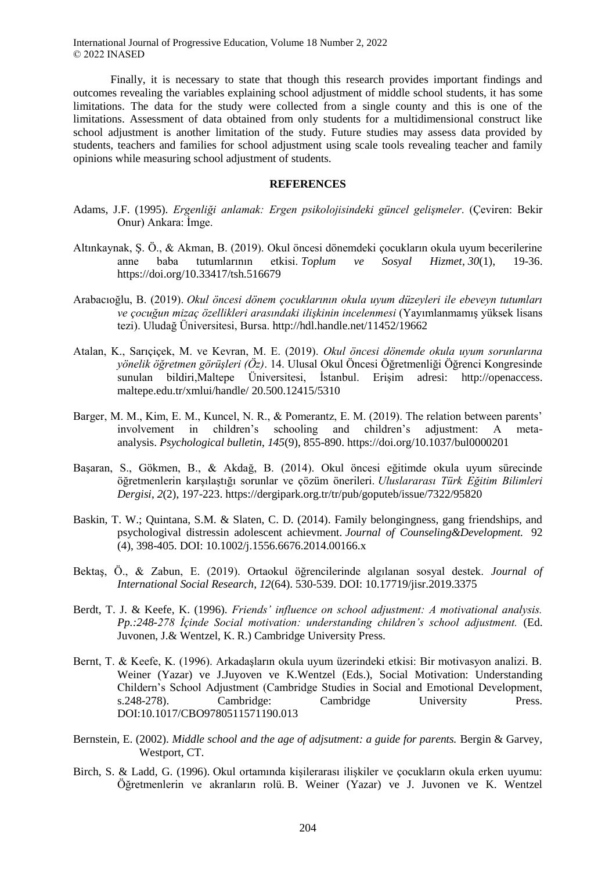Finally, it is necessary to state that though this research provides important findings and outcomes revealing the variables explaining school adjustment of middle school students, it has some limitations. The data for the study were collected from a single county and this is one of the limitations. Assessment of data obtained from only students for a multidimensional construct like school adjustment is another limitation of the study. Future studies may assess data provided by students, teachers and families for school adjustment using scale tools revealing teacher and family opinions while measuring school adjustment of students.

#### **REFERENCES**

- Adams, J.F. (1995). *Ergenliği anlamak: Ergen psikolojisindeki güncel gelişmeler*. (Çeviren: Bekir Onur) Ankara: İmge.
- Altınkaynak, Ş. Ö., & Akman, B. (2019). Okul öncesi dönemdeki çocukların okula uyum becerilerine anne baba tutumlarının etkisi. *Toplum ve Sosyal Hizmet*, *30*(1), 19-36. https://doi.org/10.33417/tsh.516679
- Arabacıoğlu, B. (2019). *Okul öncesi dönem çocuklarının okula uyum düzeyleri ile ebeveyn tutumları ve çocuğun mizaç özellikleri arasındaki ilişkinin incelenmesi* (Yayımlanmamış yüksek lisans tezi). Uludağ Üniversitesi, Bursa. http://hdl.handle.net/11452/19662
- Atalan, K., Sarıçiçek, M. ve Kevran, M. E. (2019). *Okul öncesi dönemde okula uyum sorunlarına yönelik öğretmen görüşleri (Öz)*. 14. Ulusal Okul Öncesi Öğretmenliği Öğrenci Kongresinde sunulan bildiri,Maltepe Üniversitesi, İstanbul. Erişim adresi: [http://openaccess.](http://openaccess/) maltepe.edu.tr/xmlui/handle/ 20.500.12415/5310
- Barger, M. M., Kim, E. M., Kuncel, N. R., & Pomerantz, E. M. (2019). The relation between parents' involvement in children's schooling and children's adjustment: A metaanalysis. *Psychological bulletin*, *145*(9), 855-890. https://doi.org/10.1037/bul0000201
- Başaran, S., Gökmen, B., & Akdağ, B. (2014). Okul öncesi eğitimde okula uyum sürecinde öğretmenlerin karşılaştığı sorunlar ve çözüm önerileri. *Uluslararası Türk Eğitim Bilimleri Dergisi*, *2*(2), 197-223. https://dergipark.org.tr/tr/pub/goputeb/issue/7322/95820
- Baskin, T. W.; Quintana, S.M. & Slaten, C. D. (2014). Family belongingness, gang friendships, and psychologival distressin adolescent achievment. *Journal of Counseling&Development.* 92 (4), 398-405. DOI: 10.1002/j.1556.6676.2014.00166.x
- Bektaş, Ö., & Zabun, E. (2019). Ortaokul öğrencilerinde algılanan sosyal destek. *Journal of International Social Research*, *12*(64). 530-539. DOI: 10.17719/jisr.2019.3375
- Berdt, T. J. & Keefe, K. (1996). *Friends' influence on school adjustment: A motivational analysis. Pp.:248-278 İçinde Social motivation: understanding children's school adjustment.* (Ed. Juvonen, J.& Wentzel, K. R.) Cambridge University Press.
- Bernt, T. & Keefe, K. (1996). Arkadaşların okula uyum üzerindeki etkisi: Bir motivasyon analizi. B. Weiner (Yazar) ve J.Juyoven ve K.Wentzel (Eds.), Social Motivation: Understanding Childern's School Adjustment (Cambridge Studies in Social and Emotional Development, s.248-278). Cambridge: Cambridge University Press. DOI:10.1017/CBO9780511571190.013
- Bernstein, E. (2002). *Middle school and the age of adjsutment: a guide for parents.* Bergin & Garvey, Westport, CT.
- Birch, S. & Ladd, G. (1996). Okul ortamında kişilerarası ilişkiler ve çocukların okula erken uyumu: Öğretmenlerin ve akranların rolü. B. Weiner (Yazar) ve J. Juvonen ve K. Wentzel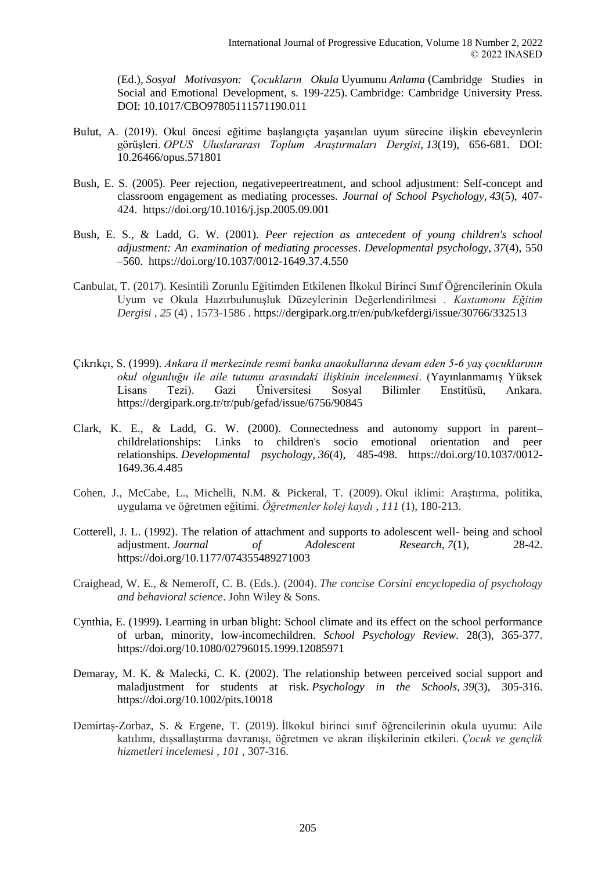(Ed.), *Sosyal Motivasyon: Çocukların Okula* Uyumunu *Anlama* (Cambridge Studies in Social and Emotional Development, s. 199-225). Cambridge: Cambridge University Press. DOI: 10.1017/CBO97805111571190.011

- Bulut, A. (2019). Okul öncesi eğitime başlangıçta yaşanılan uyum sürecine ilişkin ebeveynlerin görüşleri. *OPUS Uluslararası Toplum Araştırmaları Dergisi*, *13*(19), 656-681. DOI: 10.26466/opus.571801
- Bush, E. S. (2005). Peer rejection, negativepeertreatment, and school adjustment: Self-concept and classroom engagement as mediating processes. *Journal of School Psychology*, *43*(5), 407- 424. https://doi.org/10.1016/j.jsp.2005.09.001
- Bush, E. S., & Ladd, G. W. (2001). *Peer rejection as antecedent of young children's school adjustment: An examination of mediating processes*. *Developmental psychology*, *37*(4), 550 –560. https://doi.org/10.1037/0012-1649.37.4.550
- Canbulat, T. (2017). Kesintili Zorunlu Eğitimden Etkilenen İlkokul Birinci Sınıf Öğrencilerinin Okula Uyum ve Okula Hazırbulunuşluk Düzeylerinin Değerlendirilmesi . *Kastamonu Eğitim Dergisi , 25* (4) , 1573-1586 . https://dergipark.org.tr/en/pub/kefdergi/issue/30766/332513
- Çıkrıkçı, S. (1999). *Ankara il merkezinde resmi banka anaokullarına devam eden 5-6 yaş çocuklarının okul olgunluğu ile aile tutumu arasındaki ilişkinin incelenmesi*. (Yayınlanmamış Yüksek Lisans Tezi). Gazi Üniversitesi Sosyal Bilimler Enstitüsü, Ankara. https://dergipark.org.tr/tr/pub/gefad/issue/6756/90845
- Clark, K. E., & Ladd, G. W. (2000). Connectedness and autonomy support in parent– childrelationships: Links to children's socio emotional orientation and peer relationships. *Developmental psychology*, *36*(4), 485-498. https://doi.org/10.1037/0012- 1649.36.4.485
- Cohen, J., McCabe, L., Michelli, N.M. & Pickeral, T. (2009). Okul iklimi: Araştırma, politika, uygulama ve öğretmen eğitimi. *Öğretmenler kolej kaydı* , *111* (1), 180-213.
- Cotterell, J. L. (1992). The relation of attachment and supports to adolescent well- being and school adjustment. *Journal of Adolescent Research*, *7*(1), 28-42. https://doi.org/10.1177/074355489271003
- Craighead, W. E., & Nemeroff, C. B. (Eds.). (2004). *The concise Corsini encyclopedia of psychology and behavioral science*. John Wiley & Sons.
- Cynthia, E. (1999). Learning in urban blight: School climate and its effect on the school performance of urban, minority, low-incomechildren. *School Psychology Review*. 28(3), 365-377. https://doi.org/10.1080/02796015.1999.12085971
- Demaray, M. K. & Malecki, C. K. (2002). The relationship between perceived social support and maladjustment for students at risk. *Psychology in the Schools*, *39*(3), 305-316. https://doi.org/10.1002/pits.10018
- Demirtaş-Zorbaz, S. & Ergene, T. (2019). İlkokul birinci sınıf öğrencilerinin okula uyumu: Aile katılımı, dışsallaştırma davranışı, öğretmen ve akran ilişkilerinin etkileri. *Çocuk ve gençlik hizmetleri incelemesi* , *101* , 307-316.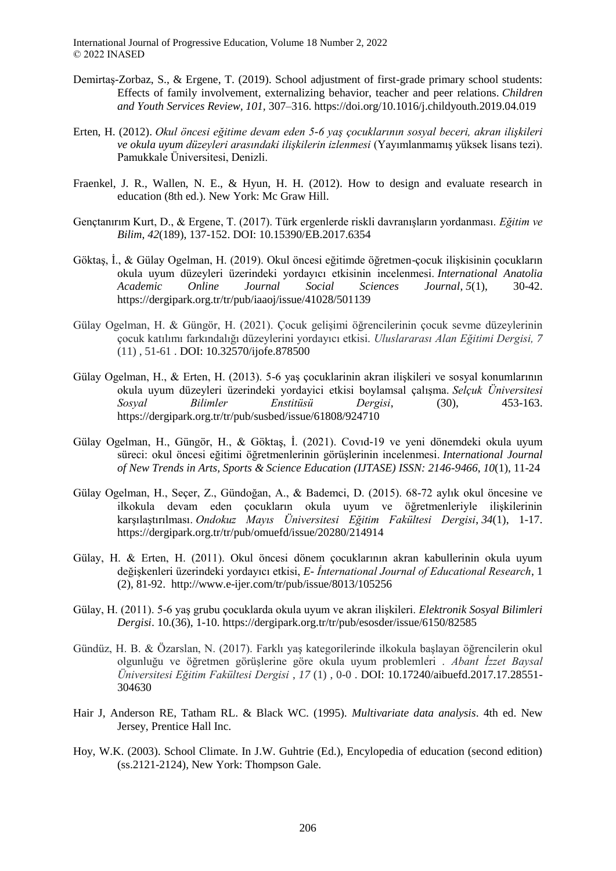- Demirtaş-Zorbaz, S., & Ergene, T. (2019). School adjustment of first-grade primary school students: Effects of family involvement, externalizing behavior, teacher and peer relations. *Children and Youth Services Review, 101,* 307–316. https://doi.org/10.1016/j.childyouth.2019.04.019
- Erten, H. (2012). *Okul öncesi eğitime devam eden 5-6 yaş çocuklarının sosyal beceri, akran ilişkileri ve okula uyum düzeyleri arasındaki ilişkilerin izlenmesi* (Yayımlanmamış yüksek lisans tezi). Pamukkale Üniversitesi, Denizli.
- Fraenkel, J. R., Wallen, N. E., & Hyun, H. H. (2012). How to design and evaluate research in education (8th ed.). New York: Mc Graw Hill.
- Gençtanırım Kurt, D., & Ergene, T. (2017). Türk ergenlerde riskli davranışların yordanması. *Eğitim ve Bilim*, *42*(189), 137-152. DOI: 10.15390/EB.2017.6354
- Göktaş, İ., & Gülay Ogelman, H. (2019). Okul öncesi eğitimde öğretmen-çocuk ilişkisinin çocukların okula uyum düzeyleri üzerindeki yordayıcı etkisinin incelenmesi. *International Anatolia Academic Online Journal Social Sciences Journal*, *5*(1), 30-42. https://dergipark.org.tr/tr/pub/iaaoj/issue/41028/501139
- Gülay Ogelman, H. & Güngör, H. (2021). Çocuk gelişimi öğrencilerinin çocuk sevme düzeylerinin çocuk katılımı farkındalığı düzeylerini yordayıcı etkisi. *Uluslararası Alan Eğitimi Dergisi, 7* (11) , 51-61 . DOI: 10.32570/ijofe.878500
- Gülay Ogelman, H., & Erten, H. (2013). 5-6 yaş çocuklarinin akran ilişkileri ve sosyal konumlarının okula uyum düzeyleri üzerindeki yordayici etkisi boylamsal çalışma. *Selçuk Üniversitesi Sosyal Bilimler Enstitüsü Dergisi*, (30), 453-163. https://dergipark.org.tr/tr/pub/susbed/issue/61808/924710
- Gülay Ogelman, H., Güngör, H., & Göktaş, İ. (2021). Covıd-19 ve yeni dönemdeki okula uyum süreci: okul öncesi eğitimi öğretmenlerinin görüşlerinin incelenmesi. *International Journal of New Trends in Arts, Sports & Science Education (IJTASE) ISSN: 2146-9466*, *10*(1), 11-24
- Gülay Ogelman, H., Seçer, Z., Gündoğan, A., & Bademci, D. (2015). 68-72 aylık okul öncesine ve ilkokula devam eden çocukların okula uyum ve öğretmenleriyle ilişkilerinin karşılaştırılması. *Ondokuz Mayıs Üniversitesi Eğitim Fakültesi Dergisi*, *34*(1), 1-17. https://dergipark.org.tr/tr/pub/omuefd/issue/20280/214914
- Gülay, H. & Erten, H. (2011). Okul öncesi dönem çocuklarının akran kabullerinin okula uyum değişkenleri üzerindeki yordayıcı etkisi, *E- İnternational Journal of Educational Research*, 1 (2), 81-92. http://www.e-ijer.com/tr/pub/issue/8013/105256
- Gülay, H. (2011). 5-6 yaş grubu çocuklarda okula uyum ve akran ilişkileri. *Elektronik Sosyal Bilimleri Dergisi*. 10.(36), 1-10. https://dergipark.org.tr/tr/pub/esosder/issue/6150/82585
- Gündüz, H. B. & Özarslan, N. (2017). Farklı yaş kategorilerinde ilkokula başlayan öğrencilerin okul olgunluğu ve öğretmen görüşlerine göre okula uyum problemleri . *Abant İzzet Baysal Üniversitesi Eğitim Fakültesi Dergisi* , *17* (1) , 0-0 . DOI: 10.17240/aibuefd.2017.17.28551- 304630
- Hair J, Anderson RE, Tatham RL. & Black WC. (1995). *Multivariate data analysis*. 4th ed. New Jersey, Prentice Hall Inc.
- Hoy, W.K. (2003). School Climate. In J.W. Guhtrie (Ed.), Encylopedia of education (second edition) (ss.2121-2124), New York: Thompson Gale.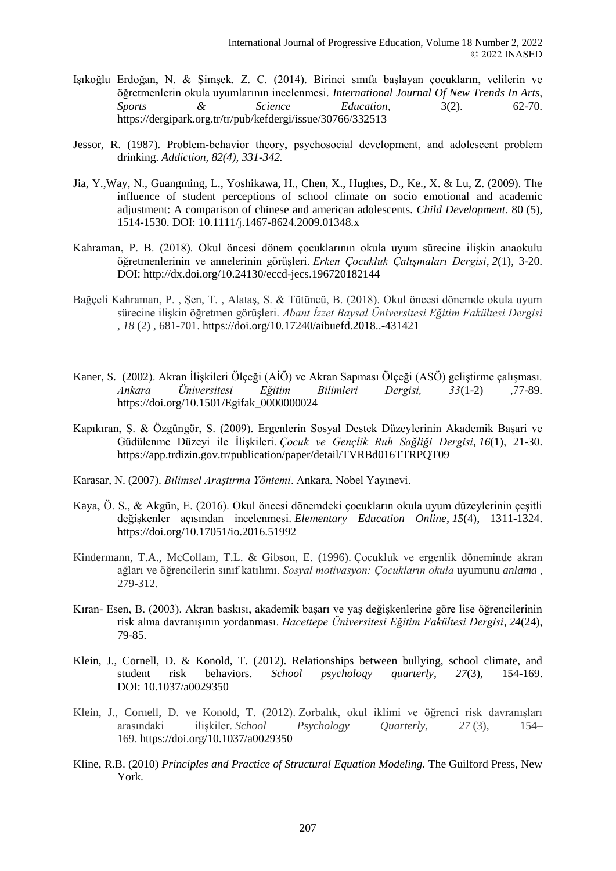- Işıkoğlu Erdoğan, N. & Şimşek. Z. C. (2014). Birinci sınıfa başlayan çocukların, velilerin ve öğretmenlerin okula uyumlarının incelenmesi. *International Journal Of New Trends In Arts, Sports & Science Education*, 3(2). 62-70. https://dergipark.org.tr/tr/pub/kefdergi/issue/30766/332513
- Jessor, R. (1987). Problem‐behavior theory, psychosocial development, and adolescent problem drinking. *Addiction, 82(4), 331-342.*
- Jia, Y.,Way, N., Guangming, L., Yoshikawa, H., Chen, X., Hughes, D., Ke., X. & Lu, Z. (2009). The influence of student perceptions of school climate on socio emotional and academic adjustment: A comparison of chinese and american adolescents*. Child Development*. 80 (5), 1514-1530. DOI: [10.1111/j.1467-8624.2009.01348.x](https://doi.org/10.1111/j.1467-8624.2009.01348.x)
- Kahraman, P. B. (2018). Okul öncesi dönem çocuklarının okula uyum sürecine ilişkin anaokulu öğretmenlerinin ve annelerinin görüşleri. *Erken Çocukluk Çalışmaları Dergisi*, *2*(1), 3-20. DOI: http://dx.doi.org/10.24130/eccd-jecs.196720182144
- Bağçeli Kahraman, P. , Şen, T. , Alataş, S. & Tütüncü, B. (2018). Okul öncesi dönemde okula uyum sürecine ilişkin öğretmen görüşleri. *Abant İzzet Baysal Üniversitesi Eğitim Fakültesi Dergisi* , *18* (2) , 681-701. https://doi.org/10.17240/aibuefd.2018..-431421
- Kaner, S. (2002). Akran İlişkileri Ölçeği (AİÖ) ve Akran Sapması Ölçeği (ASÖ) geliştirme çalışması. *Ankara Üniversitesi Eğitim Bilimleri Dergisi, 33*(1-2) ,77-89. https://doi.org/10.1501/Egifak\_0000000024
- Kapıkıran, Ş. & Özgüngör, S. (2009). Ergenlerin Sosyal Destek Düzeylerinin Akademik Başari ve Güdülenme Düzeyi ile İlişkileri. *Çocuk ve Gençlik Ruh Sağliği Dergisi*, *16*(1), 21-30. https://app.trdizin.gov.tr/publication/paper/detail/TVRBd016TTRPQT09
- Karasar, N. (2007). *Bilimsel Araştırma Yöntemi*. Ankara, Nobel Yayınevi.
- Kaya, Ö. S., & Akgün, E. (2016). Okul öncesi dönemdeki çocukların okula uyum düzeylerinin çeşitli değişkenler açısından incelenmesi. *Elementary Education Online*, *15*(4), 1311-1324. https://doi.org/10.17051/io.2016.51992
- Kindermann, T.A., McCollam, T.L. & Gibson, E. (1996). Çocukluk ve ergenlik döneminde akran ağları ve öğrencilerin sınıf katılımı. *Sosyal motivasyon: Çocukların okula* uyumunu *anlama* , 279-312.
- Kıran- Esen, B. (2003). Akran baskısı, akademik başarı ve yaş değişkenlerine göre lise öğrencilerinin risk alma davranışının yordanması. *Hacettepe Üniversitesi Eğitim Fakültesi Dergisi*, *24*(24), 79-85.
- Klein, J., Cornell, D. & Konold, T. (2012). Relationships between bullying, school climate, and student risk behaviors. *School psychology quarterly*, *27*(3), 154-169. DOI: 10.1037/a0029350
- Klein, J., Cornell, D. ve Konold, T. (2012). Zorbalık, okul iklimi ve öğrenci risk davranışları arasındaki ilişkiler. *School Psychology Quarterly, 27* (3), 154– 169. https://doi.org/10.1037/a0029350
- Kline, R.B. (2010) *Principles and Practice of Structural Equation Modeling.* The Guilford Press, New York.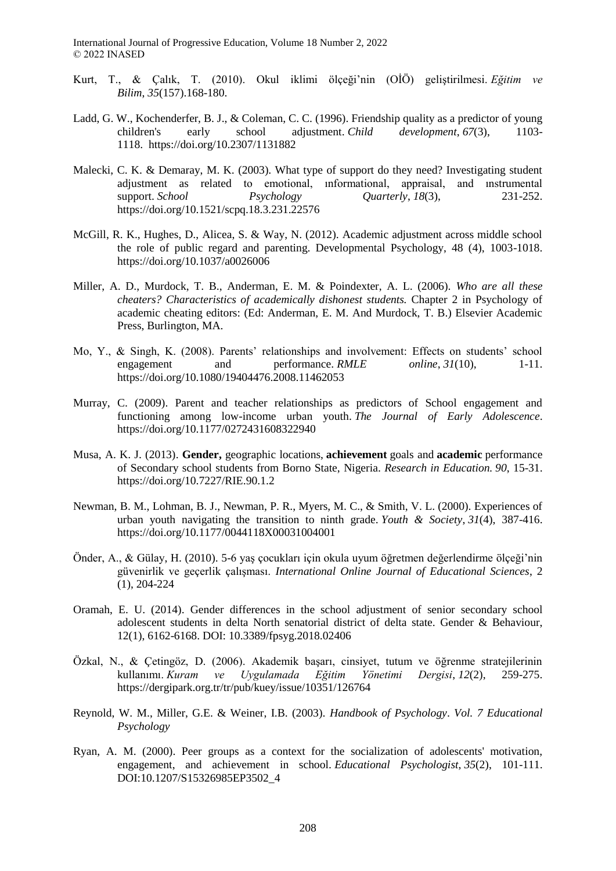- Kurt, T., & Çalık, T. (2010). Okul iklimi ölçeği'nin (OİÖ) geliştirilmesi. *Eğitim ve Bilim*, *35*(157).168-180.
- Ladd, G. W., Kochenderfer, B. J., & Coleman, C. C. (1996). Friendship quality as a predictor of young children's early school adjustment. *Child development*, *67*(3), 1103- 1118. https://doi.org/10.2307/1131882
- Malecki, C. K. & Demaray, M. K. (2003). What type of support do they need? Investigating student adjustment as related to emotional, ınformational, appraisal, and ınstrumental support. *School Psychology Quarterly*, *18*(3), 231-252. https://doi.org/10.1521/scpq.18.3.231.22576
- McGill, R. K., Hughes, D., Alicea, S. & Way, N. (2012). Academic adjustment across middle school the role of public regard and parenting. Developmental Psychology, 48 (4), 1003-1018. https://doi.org/10.1037/a0026006
- Miller, A. D., Murdock, T. B., Anderman, E. M. & Poindexter, A. L. (2006). *Who are all these cheaters? Characteristics of academically dishonest students.* Chapter 2 in Psychology of academic cheating editors: (Ed: Anderman, E. M. And Murdock, T. B.) Elsevier Academic Press, Burlington, MA.
- Mo, Y., & Singh, K. (2008). Parents' relationships and involvement: Effects on students' school engagement and performance. *RMLE online*, *31*(10), 1-11. https://doi.org/10.1080/19404476.2008.11462053
- Murray, C. (2009). Parent and teacher relationships as predictors of School engagement and functioning among low-income urban youth. *The Journal of Early Adolescence*. https://doi.org/10.1177/0272431608322940
- Musa, A. K. J. (2013). **Gender,** geographic locations, **achievement** goals and **academic** performance of Secondary school students from Borno State, Nigeria. *Research in Education. 90*, 15-31. https://doi.org/10.7227/RIE.90.1.2
- Newman, B. M., Lohman, B. J., Newman, P. R., Myers, M. C., & Smith, V. L. (2000). Experiences of urban youth navigating the transition to ninth grade. *Youth & Society*, *31*(4), 387-416. https://doi.org/10.1177/0044118X00031004001
- Önder, A., & Gülay, H. (2010). 5-6 yaş çocukları için okula uyum öğretmen değerlendirme ölçeği'nin güvenirlik ve geçerlik çalışması. *International Online Journal of Educational Sciences*, 2 (1), 204-224
- Oramah, E. U. (2014). Gender differences in the school adjustment of senior secondary school adolescent students in delta North senatorial district of delta state. Gender & Behaviour, 12(1), 6162-6168. DOI: 10.3389/fpsyg.2018.02406
- Özkal, N., & Çetingöz, D. (2006). Akademik başarı, cinsiyet, tutum ve öğrenme stratejilerinin kullanımı. *Kuram ve Uygulamada Eğitim Yönetimi Dergisi*, *12*(2), 259-275. https://dergipark.org.tr/tr/pub/kuey/issue/10351/126764
- Reynold, W. M., Miller, G.E. & Weiner, I.B. (2003). *Handbook of Psychology*. *Vol. 7 Educational Psychology*
- Ryan, A. M. (2000). Peer groups as a context for the socialization of adolescents' motivation, engagement, and achievement in school. *Educational Psychologist*, *35*(2), 101-111. DOI:10.1207/S15326985EP3502\_4